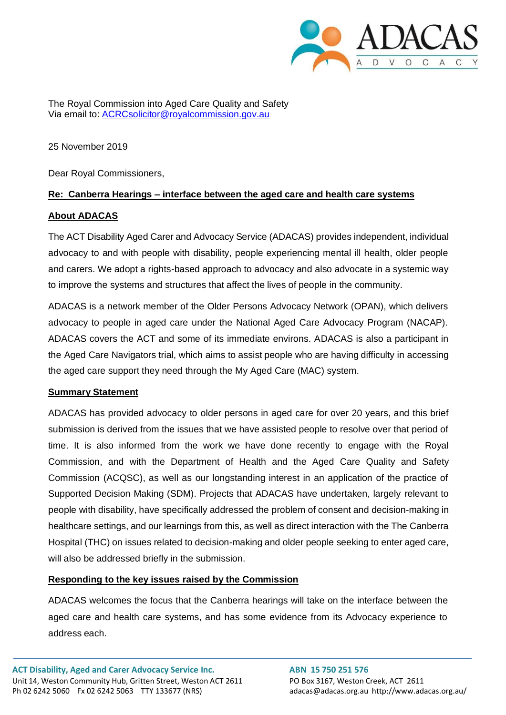

The Royal Commission into Aged Care Quality and Safety Via email to: [ACRCsolicitor@royalcommission.gov.au](mailto:ACRCsolicitor@royalcommission.gov.au)

25 November 2019

Dear Royal Commissioners,

### **Re: Canberra Hearings – interface between the aged care and health care systems**

#### **About ADACAS**

The ACT Disability Aged Carer and Advocacy Service (ADACAS) provides independent, individual advocacy to and with people with disability, people experiencing mental ill health, older people and carers. We adopt a rights-based approach to advocacy and also advocate in a systemic way to improve the systems and structures that affect the lives of people in the community.

ADACAS is a network member of the Older Persons Advocacy Network (OPAN), which delivers advocacy to people in aged care under the National Aged Care Advocacy Program (NACAP). ADACAS covers the ACT and some of its immediate environs. ADACAS is also a participant in the Aged Care Navigators trial, which aims to assist people who are having difficulty in accessing the aged care support they need through the My Aged Care (MAC) system.

### **Summary Statement**

ADACAS has provided advocacy to older persons in aged care for over 20 years, and this brief submission is derived from the issues that we have assisted people to resolve over that period of time. It is also informed from the work we have done recently to engage with the Royal Commission, and with the Department of Health and the Aged Care Quality and Safety Commission (ACQSC), as well as our longstanding interest in an application of the practice of Supported Decision Making (SDM). Projects that ADACAS have undertaken, largely relevant to people with disability, have specifically addressed the problem of consent and decision-making in healthcare settings, and our learnings from this, as well as direct interaction with the The Canberra Hospital (THC) on issues related to decision-making and older people seeking to enter aged care, will also be addressed briefly in the submission.

### **Responding to the key issues raised by the Commission**

ADACAS welcomes the focus that the Canberra hearings will take on the interface between the aged care and health care systems, and has some evidence from its Advocacy experience to address each.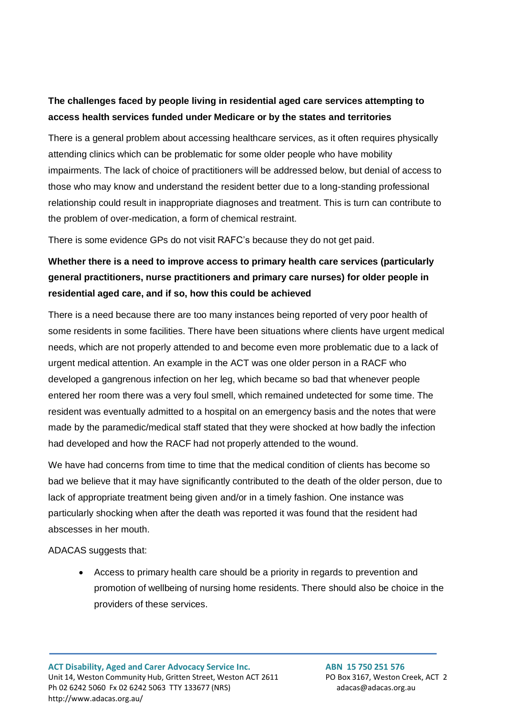### **The challenges faced by people living in residential aged care services attempting to access health services funded under Medicare or by the states and territories**

There is a general problem about accessing healthcare services, as it often requires physically attending clinics which can be problematic for some older people who have mobility impairments. The lack of choice of practitioners will be addressed below, but denial of access to those who may know and understand the resident better due to a long-standing professional relationship could result in inappropriate diagnoses and treatment. This is turn can contribute to the problem of over-medication, a form of chemical restraint.

There is some evidence GPs do not visit RAFC's because they do not get paid.

# **Whether there is a need to improve access to primary health care services (particularly general practitioners, nurse practitioners and primary care nurses) for older people in residential aged care, and if so, how this could be achieved**

There is a need because there are too many instances being reported of very poor health of some residents in some facilities. There have been situations where clients have urgent medical needs, which are not properly attended to and become even more problematic due to a lack of urgent medical attention. An example in the ACT was one older person in a RACF who developed a gangrenous infection on her leg, which became so bad that whenever people entered her room there was a very foul smell, which remained undetected for some time. The resident was eventually admitted to a hospital on an emergency basis and the notes that were made by the paramedic/medical staff stated that they were shocked at how badly the infection had developed and how the RACF had not properly attended to the wound.

We have had concerns from time to time that the medical condition of clients has become so bad we believe that it may have significantly contributed to the death of the older person, due to lack of appropriate treatment being given and/or in a timely fashion. One instance was particularly shocking when after the death was reported it was found that the resident had abscesses in her mouth.

### ADACAS suggests that:

• Access to primary health care should be a priority in regards to prevention and promotion of wellbeing of nursing home residents. There should also be choice in the providers of these services.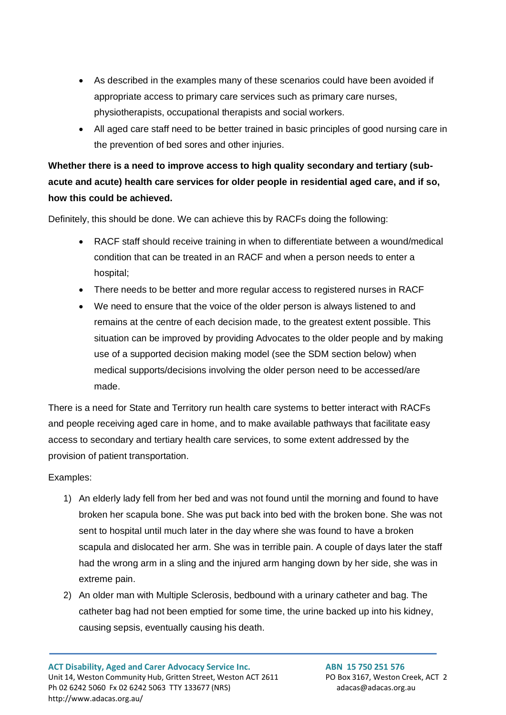- As described in the examples many of these scenarios could have been avoided if appropriate access to primary care services such as primary care nurses, physiotherapists, occupational therapists and social workers.
- All aged care staff need to be better trained in basic principles of good nursing care in the prevention of bed sores and other injuries.

# **Whether there is a need to improve access to high quality secondary and tertiary (subacute and acute) health care services for older people in residential aged care, and if so, how this could be achieved.**

Definitely, this should be done. We can achieve this by RACFs doing the following:

- RACF staff should receive training in when to differentiate between a wound/medical condition that can be treated in an RACF and when a person needs to enter a hospital;
- There needs to be better and more regular access to registered nurses in RACF
- We need to ensure that the voice of the older person is always listened to and remains at the centre of each decision made, to the greatest extent possible. This situation can be improved by providing Advocates to the older people and by making use of a supported decision making model (see the SDM section below) when medical supports/decisions involving the older person need to be accessed/are made.

There is a need for State and Territory run health care systems to better interact with RACFs and people receiving aged care in home, and to make available pathways that facilitate easy access to secondary and tertiary health care services, to some extent addressed by the provision of patient transportation.

Examples:

- 1) An elderly lady fell from her bed and was not found until the morning and found to have broken her scapula bone. She was put back into bed with the broken bone. She was not sent to hospital until much later in the day where she was found to have a broken scapula and dislocated her arm. She was in terrible pain. A couple of days later the staff had the wrong arm in a sling and the injured arm hanging down by her side, she was in extreme pain.
- 2) An older man with Multiple Sclerosis, bedbound with a urinary catheter and bag. The catheter bag had not been emptied for some time, the urine backed up into his kidney, causing sepsis, eventually causing his death.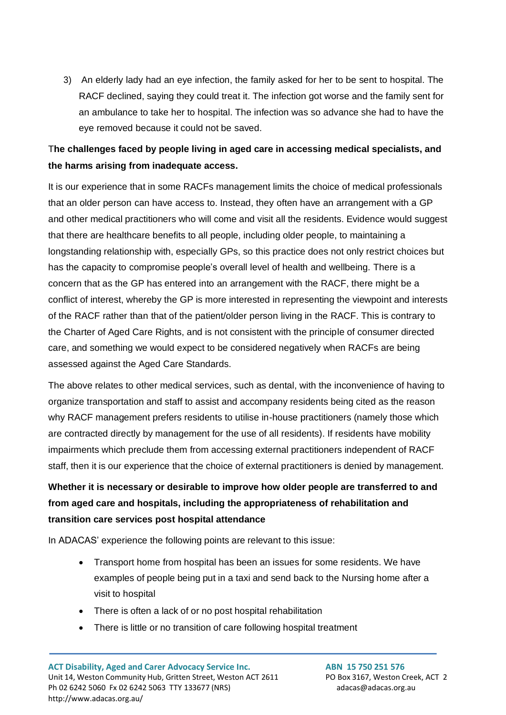3) An elderly lady had an eye infection, the family asked for her to be sent to hospital. The RACF declined, saying they could treat it. The infection got worse and the family sent for an ambulance to take her to hospital. The infection was so advance she had to have the eye removed because it could not be saved.

### T**he challenges faced by people living in aged care in accessing medical specialists, and the harms arising from inadequate access.**

It is our experience that in some RACFs management limits the choice of medical professionals that an older person can have access to. Instead, they often have an arrangement with a GP and other medical practitioners who will come and visit all the residents. Evidence would suggest that there are healthcare benefits to all people, including older people, to maintaining a longstanding relationship with, especially GPs, so this practice does not only restrict choices but has the capacity to compromise people's overall level of health and wellbeing. There is a concern that as the GP has entered into an arrangement with the RACF, there might be a conflict of interest, whereby the GP is more interested in representing the viewpoint and interests of the RACF rather than that of the patient/older person living in the RACF. This is contrary to the Charter of Aged Care Rights, and is not consistent with the principle of consumer directed care, and something we would expect to be considered negatively when RACFs are being assessed against the Aged Care Standards.

The above relates to other medical services, such as dental, with the inconvenience of having to organize transportation and staff to assist and accompany residents being cited as the reason why RACF management prefers residents to utilise in-house practitioners (namely those which are contracted directly by management for the use of all residents). If residents have mobility impairments which preclude them from accessing external practitioners independent of RACF staff, then it is our experience that the choice of external practitioners is denied by management.

# **Whether it is necessary or desirable to improve how older people are transferred to and from aged care and hospitals, including the appropriateness of rehabilitation and transition care services post hospital attendance**

In ADACAS' experience the following points are relevant to this issue:

- Transport home from hospital has been an issues for some residents. We have examples of people being put in a taxi and send back to the Nursing home after a visit to hospital
- There is often a lack of or no post hospital rehabilitation
- There is little or no transition of care following hospital treatment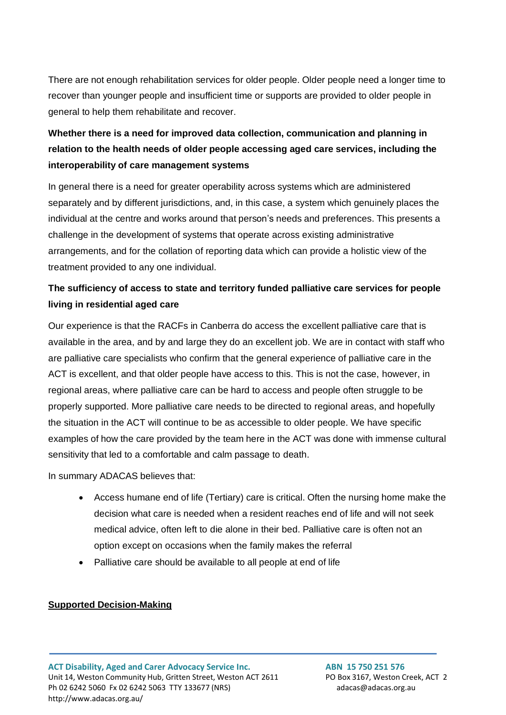There are not enough rehabilitation services for older people. Older people need a longer time to recover than younger people and insufficient time or supports are provided to older people in general to help them rehabilitate and recover.

# **Whether there is a need for improved data collection, communication and planning in relation to the health needs of older people accessing aged care services, including the interoperability of care management systems**

In general there is a need for greater operability across systems which are administered separately and by different jurisdictions, and, in this case, a system which genuinely places the individual at the centre and works around that person's needs and preferences. This presents a challenge in the development of systems that operate across existing administrative arrangements, and for the collation of reporting data which can provide a holistic view of the treatment provided to any one individual.

### **The sufficiency of access to state and territory funded palliative care services for people living in residential aged care**

Our experience is that the RACFs in Canberra do access the excellent palliative care that is available in the area, and by and large they do an excellent job. We are in contact with staff who are palliative care specialists who confirm that the general experience of palliative care in the ACT is excellent, and that older people have access to this. This is not the case, however, in regional areas, where palliative care can be hard to access and people often struggle to be properly supported. More palliative care needs to be directed to regional areas, and hopefully the situation in the ACT will continue to be as accessible to older people. We have specific examples of how the care provided by the team here in the ACT was done with immense cultural sensitivity that led to a comfortable and calm passage to death.

In summary ADACAS believes that:

- Access humane end of life (Tertiary) care is critical. Often the nursing home make the decision what care is needed when a resident reaches end of life and will not seek medical advice, often left to die alone in their bed. Palliative care is often not an option except on occasions when the family makes the referral
- Palliative care should be available to all people at end of life

### **Supported Decision-Making**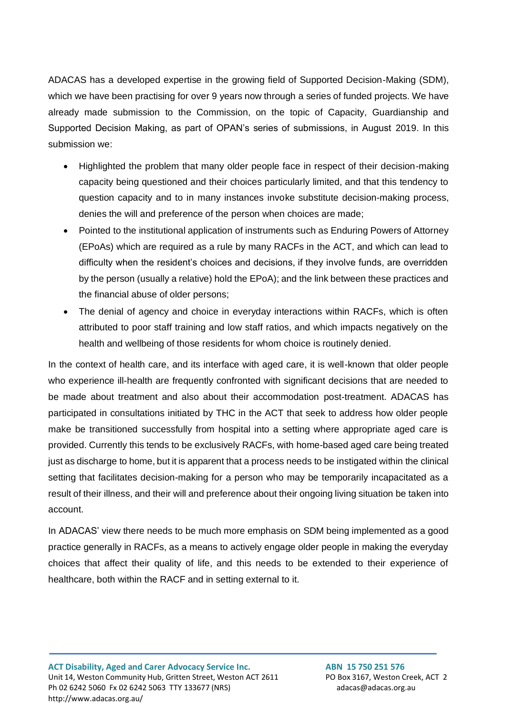ADACAS has a developed expertise in the growing field of Supported Decision-Making (SDM), which we have been practising for over 9 years now through a series of funded projects. We have already made submission to the Commission, on the topic of Capacity, Guardianship and Supported Decision Making, as part of OPAN's series of submissions, in August 2019. In this submission we:

- Highlighted the problem that many older people face in respect of their decision-making capacity being questioned and their choices particularly limited, and that this tendency to question capacity and to in many instances invoke substitute decision-making process, denies the will and preference of the person when choices are made;
- Pointed to the institutional application of instruments such as Enduring Powers of Attorney (EPoAs) which are required as a rule by many RACFs in the ACT, and which can lead to difficulty when the resident's choices and decisions, if they involve funds, are overridden by the person (usually a relative) hold the EPoA); and the link between these practices and the financial abuse of older persons;
- The denial of agency and choice in everyday interactions within RACFs, which is often attributed to poor staff training and low staff ratios, and which impacts negatively on the health and wellbeing of those residents for whom choice is routinely denied.

In the context of health care, and its interface with aged care, it is well-known that older people who experience ill-health are frequently confronted with significant decisions that are needed to be made about treatment and also about their accommodation post-treatment. ADACAS has participated in consultations initiated by THC in the ACT that seek to address how older people make be transitioned successfully from hospital into a setting where appropriate aged care is provided. Currently this tends to be exclusively RACFs, with home-based aged care being treated just as discharge to home, but it is apparent that a process needs to be instigated within the clinical setting that facilitates decision-making for a person who may be temporarily incapacitated as a result of their illness, and their will and preference about their ongoing living situation be taken into account.

In ADACAS' view there needs to be much more emphasis on SDM being implemented as a good practice generally in RACFs, as a means to actively engage older people in making the everyday choices that affect their quality of life, and this needs to be extended to their experience of healthcare, both within the RACF and in setting external to it.